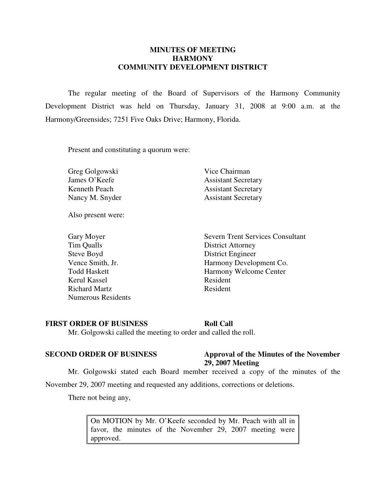## **MINUTES OF MEETING HARMONY COMMUNITY DEVELOPMENT DISTRICT**

 The regular meeting of the Board of Supervisors of the Harmony Community Development District was held on Thursday, January 31, 2008 at 9:00 a.m. at the Harmony/Greensides; 7251 Five Oaks Drive; Harmony, Florida.

Present and constituting a quorum were:

Greg Golgowski Vice Chairman

James O'Keefe Assistant Secretary Kenneth Peach Assistant Secretary Nancy M. Snyder Assistant Secretary

Also present were:

Tim Qualls District Attorney Steve Boyd District Engineer Kerul Kassel Resident Richard Martz Resident Numerous Residents

Gary Moyer Severn Trent Services Consultant Vence Smith, Jr. Harmony Development Co. Todd Haskett Harmony Welcome Center

### **FIRST ORDER OF BUSINESS Roll Call**

Mr. Golgowski called the meeting to order and called the roll.

## **SECOND ORDER OF BUSINESS Approval of the Minutes of the November 29, 2007 Meeting**

Mr. Golgowski stated each Board member received a copy of the minutes of the

November 29, 2007 meeting and requested any additions, corrections or deletions.

There not being any,

On MOTION by Mr. O'Keefe seconded by Mr. Peach with all in favor, the minutes of the November 29, 2007 meeting were approved.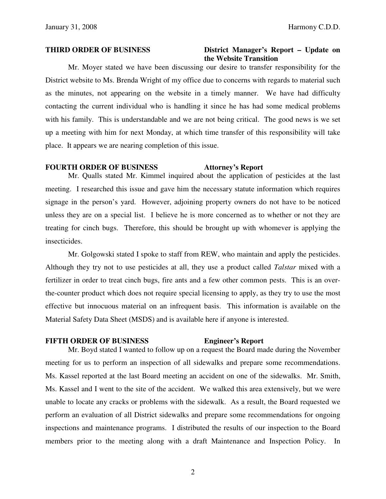### **THIRD ORDER OF BUSINESS District Manager's Report – Update on the Website Transition**

 Mr. Moyer stated we have been discussing our desire to transfer responsibility for the District website to Ms. Brenda Wright of my office due to concerns with regards to material such as the minutes, not appearing on the website in a timely manner. We have had difficulty contacting the current individual who is handling it since he has had some medical problems with his family. This is understandable and we are not being critical. The good news is we set up a meeting with him for next Monday, at which time transfer of this responsibility will take place. It appears we are nearing completion of this issue.

### **FOURTH ORDER OF BUSINESS Attorney's Report**

 Mr. Qualls stated Mr. Kimmel inquired about the application of pesticides at the last meeting. I researched this issue and gave him the necessary statute information which requires signage in the person's yard. However, adjoining property owners do not have to be noticed unless they are on a special list. I believe he is more concerned as to whether or not they are treating for cinch bugs. Therefore, this should be brought up with whomever is applying the insecticides.

 Mr. Golgowski stated I spoke to staff from REW, who maintain and apply the pesticides. Although they try not to use pesticides at all, they use a product called *Talstar* mixed with a fertilizer in order to treat cinch bugs, fire ants and a few other common pests. This is an overthe-counter product which does not require special licensing to apply, as they try to use the most effective but innocuous material on an infrequent basis. This information is available on the Material Safety Data Sheet (MSDS) and is available here if anyone is interested.

## **FIFTH ORDER OF BUSINESS Engineer's Report**

 Mr. Boyd stated I wanted to follow up on a request the Board made during the November meeting for us to perform an inspection of all sidewalks and prepare some recommendations. Ms. Kassel reported at the last Board meeting an accident on one of the sidewalks. Mr. Smith, Ms. Kassel and I went to the site of the accident. We walked this area extensively, but we were unable to locate any cracks or problems with the sidewalk. As a result, the Board requested we perform an evaluation of all District sidewalks and prepare some recommendations for ongoing inspections and maintenance programs. I distributed the results of our inspection to the Board members prior to the meeting along with a draft Maintenance and Inspection Policy. In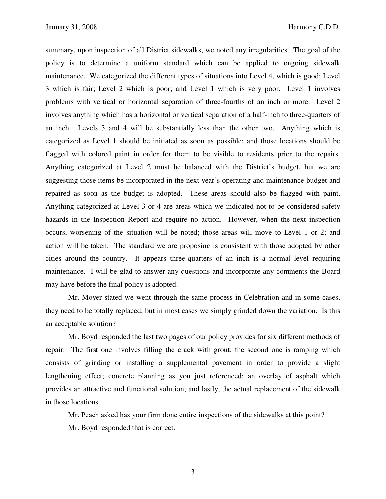summary, upon inspection of all District sidewalks, we noted any irregularities. The goal of the policy is to determine a uniform standard which can be applied to ongoing sidewalk maintenance. We categorized the different types of situations into Level 4, which is good; Level 3 which is fair; Level 2 which is poor; and Level 1 which is very poor. Level 1 involves problems with vertical or horizontal separation of three-fourths of an inch or more. Level 2 involves anything which has a horizontal or vertical separation of a half-inch to three-quarters of an inch. Levels 3 and 4 will be substantially less than the other two. Anything which is categorized as Level 1 should be initiated as soon as possible; and those locations should be flagged with colored paint in order for them to be visible to residents prior to the repairs. Anything categorized at Level 2 must be balanced with the District's budget, but we are suggesting those items be incorporated in the next year's operating and maintenance budget and repaired as soon as the budget is adopted. These areas should also be flagged with paint. Anything categorized at Level 3 or 4 are areas which we indicated not to be considered safety hazards in the Inspection Report and require no action. However, when the next inspection occurs, worsening of the situation will be noted; those areas will move to Level 1 or 2; and action will be taken. The standard we are proposing is consistent with those adopted by other cities around the country. It appears three-quarters of an inch is a normal level requiring maintenance. I will be glad to answer any questions and incorporate any comments the Board may have before the final policy is adopted.

 Mr. Moyer stated we went through the same process in Celebration and in some cases, they need to be totally replaced, but in most cases we simply grinded down the variation. Is this an acceptable solution?

 Mr. Boyd responded the last two pages of our policy provides for six different methods of repair. The first one involves filling the crack with grout; the second one is ramping which consists of grinding or installing a supplemental pavement in order to provide a slight lengthening effect; concrete planning as you just referenced; an overlay of asphalt which provides an attractive and functional solution; and lastly, the actual replacement of the sidewalk in those locations.

Mr. Peach asked has your firm done entire inspections of the sidewalks at this point?

Mr. Boyd responded that is correct.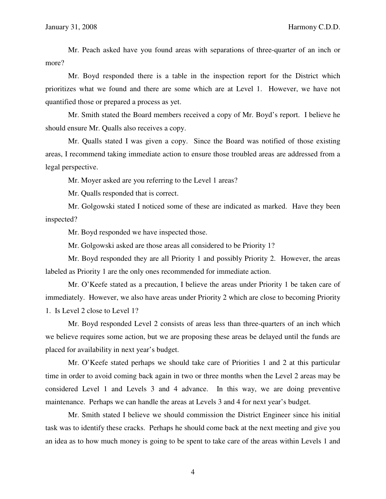Mr. Peach asked have you found areas with separations of three-quarter of an inch or more?

 Mr. Boyd responded there is a table in the inspection report for the District which prioritizes what we found and there are some which are at Level 1. However, we have not quantified those or prepared a process as yet.

 Mr. Smith stated the Board members received a copy of Mr. Boyd's report. I believe he should ensure Mr. Qualls also receives a copy.

 Mr. Qualls stated I was given a copy. Since the Board was notified of those existing areas, I recommend taking immediate action to ensure those troubled areas are addressed from a legal perspective.

Mr. Moyer asked are you referring to the Level 1 areas?

Mr. Qualls responded that is correct.

 Mr. Golgowski stated I noticed some of these are indicated as marked. Have they been inspected?

Mr. Boyd responded we have inspected those.

Mr. Golgowski asked are those areas all considered to be Priority 1?

 Mr. Boyd responded they are all Priority 1 and possibly Priority 2. However, the areas labeled as Priority 1 are the only ones recommended for immediate action.

 Mr. O'Keefe stated as a precaution, I believe the areas under Priority 1 be taken care of immediately. However, we also have areas under Priority 2 which are close to becoming Priority 1. Is Level 2 close to Level 1?

 Mr. Boyd responded Level 2 consists of areas less than three-quarters of an inch which we believe requires some action, but we are proposing these areas be delayed until the funds are placed for availability in next year's budget.

 Mr. O'Keefe stated perhaps we should take care of Priorities 1 and 2 at this particular time in order to avoid coming back again in two or three months when the Level 2 areas may be considered Level 1 and Levels 3 and 4 advance. In this way, we are doing preventive maintenance. Perhaps we can handle the areas at Levels 3 and 4 for next year's budget.

 Mr. Smith stated I believe we should commission the District Engineer since his initial task was to identify these cracks. Perhaps he should come back at the next meeting and give you an idea as to how much money is going to be spent to take care of the areas within Levels 1 and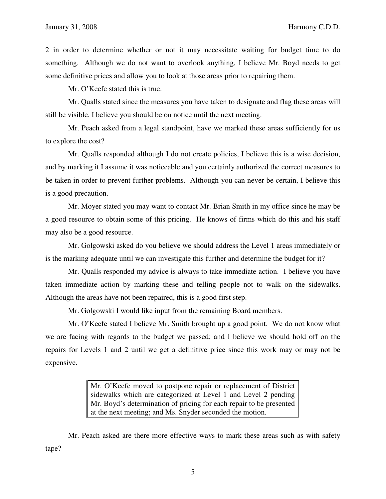2 in order to determine whether or not it may necessitate waiting for budget time to do something. Although we do not want to overlook anything, I believe Mr. Boyd needs to get some definitive prices and allow you to look at those areas prior to repairing them.

Mr. O'Keefe stated this is true.

 Mr. Qualls stated since the measures you have taken to designate and flag these areas will still be visible, I believe you should be on notice until the next meeting.

 Mr. Peach asked from a legal standpoint, have we marked these areas sufficiently for us to explore the cost?

 Mr. Qualls responded although I do not create policies, I believe this is a wise decision, and by marking it I assume it was noticeable and you certainly authorized the correct measures to be taken in order to prevent further problems. Although you can never be certain, I believe this is a good precaution.

 Mr. Moyer stated you may want to contact Mr. Brian Smith in my office since he may be a good resource to obtain some of this pricing. He knows of firms which do this and his staff may also be a good resource.

 Mr. Golgowski asked do you believe we should address the Level 1 areas immediately or is the marking adequate until we can investigate this further and determine the budget for it?

 Mr. Qualls responded my advice is always to take immediate action. I believe you have taken immediate action by marking these and telling people not to walk on the sidewalks. Although the areas have not been repaired, this is a good first step.

Mr. Golgowski I would like input from the remaining Board members.

 Mr. O'Keefe stated I believe Mr. Smith brought up a good point. We do not know what we are facing with regards to the budget we passed; and I believe we should hold off on the repairs for Levels 1 and 2 until we get a definitive price since this work may or may not be expensive.

> Mr. O'Keefe moved to postpone repair or replacement of District sidewalks which are categorized at Level 1 and Level 2 pending Mr. Boyd's determination of pricing for each repair to be presented at the next meeting; and Ms. Snyder seconded the motion.

 Mr. Peach asked are there more effective ways to mark these areas such as with safety tape?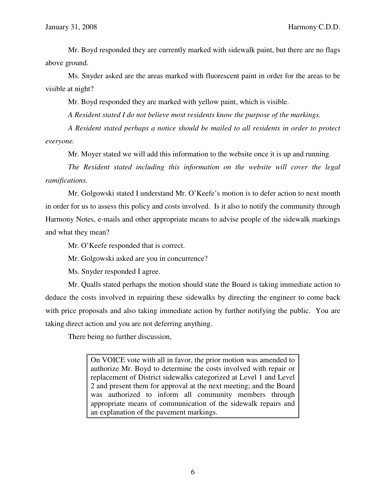Mr. Boyd responded they are currently marked with sidewalk paint, but there are no flags above ground.

 Ms. Snyder asked are the areas marked with fluorescent paint in order for the areas to be visible at night?

Mr. Boyd responded they are marked with yellow paint, which is visible.

 *A Resident stated I do not believe most residents know the purpose of the markings.* 

 *A Resident stated perhaps a notice should be mailed to all residents in order to protect everyone.*

Mr. Moyer stated we will add this information to the website once it is up and running.

 *The Resident stated including this information on the website will cover the legal ramifications.*

 Mr. Golgowski stated I understand Mr. O'Keefe's motion is to defer action to next month in order for us to assess this policy and costs involved. Is it also to notify the community through Harmony Notes, e-mails and other appropriate means to advise people of the sidewalk markings and what they mean?

Mr. O'Keefe responded that is correct.

Mr. Golgowski asked are you in concurrence?

Ms. Snyder responded I agree.

 Mr. Qualls stated perhaps the motion should state the Board is taking immediate action to deduce the costs involved in repairing these sidewalks by directing the engineer to come back with price proposals and also taking immediate action by further notifying the public. You are taking direct action and you are not deferring anything.

There being no further discussion,

On VOICE vote with all in favor, the prior motion was amended to authorize Mr. Boyd to determine the costs involved with repair or replacement of District sidewalks categorized at Level 1 and Level 2 and present them for approval at the next meeting; and the Board was authorized to inform all community members through appropriate means of communication of the sidewalk repairs and an explanation of the pavement markings.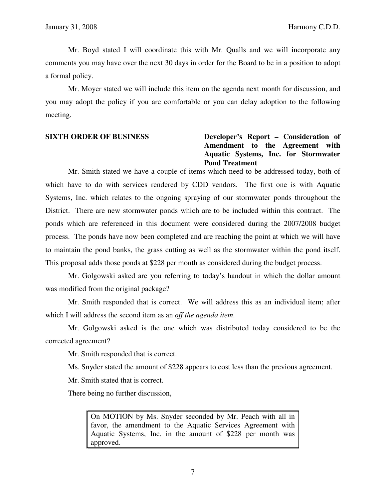Mr. Boyd stated I will coordinate this with Mr. Qualls and we will incorporate any comments you may have over the next 30 days in order for the Board to be in a position to adopt a formal policy.

 Mr. Moyer stated we will include this item on the agenda next month for discussion, and you may adopt the policy if you are comfortable or you can delay adoption to the following meeting.

## **SIXTH ORDER OF BUSINESS Developer's Report – Consideration of Amendment to the Agreement with Aquatic Systems, Inc. for Stormwater Pond Treatment**

 Mr. Smith stated we have a couple of items which need to be addressed today, both of which have to do with services rendered by CDD vendors. The first one is with Aquatic Systems, Inc. which relates to the ongoing spraying of our stormwater ponds throughout the District. There are new stormwater ponds which are to be included within this contract. The ponds which are referenced in this document were considered during the 2007/2008 budget process. The ponds have now been completed and are reaching the point at which we will have to maintain the pond banks, the grass cutting as well as the stormwater within the pond itself. This proposal adds those ponds at \$228 per month as considered during the budget process.

 Mr. Golgowski asked are you referring to today's handout in which the dollar amount was modified from the original package?

 Mr. Smith responded that is correct. We will address this as an individual item; after which I will address the second item as an *off the agenda item*.

 Mr. Golgowski asked is the one which was distributed today considered to be the corrected agreement?

Mr. Smith responded that is correct.

Ms. Snyder stated the amount of \$228 appears to cost less than the previous agreement.

Mr. Smith stated that is correct.

There being no further discussion,

On MOTION by Ms. Snyder seconded by Mr. Peach with all in favor, the amendment to the Aquatic Services Agreement with Aquatic Systems, Inc. in the amount of \$228 per month was approved.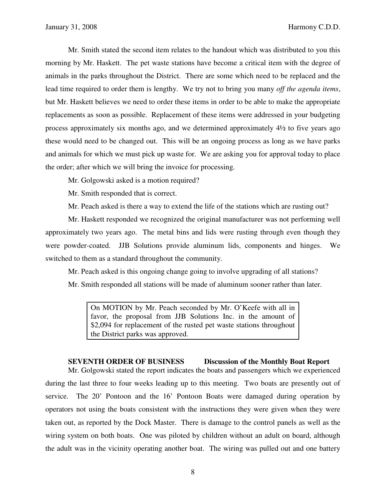Mr. Smith stated the second item relates to the handout which was distributed to you this morning by Mr. Haskett. The pet waste stations have become a critical item with the degree of animals in the parks throughout the District. There are some which need to be replaced and the lead time required to order them is lengthy. We try not to bring you many *off the agenda items*, but Mr. Haskett believes we need to order these items in order to be able to make the appropriate replacements as soon as possible. Replacement of these items were addressed in your budgeting process approximately six months ago, and we determined approximately 4½ to five years ago these would need to be changed out. This will be an ongoing process as long as we have parks and animals for which we must pick up waste for. We are asking you for approval today to place the order; after which we will bring the invoice for processing.

Mr. Golgowski asked is a motion required?

Mr. Smith responded that is correct.

Mr. Peach asked is there a way to extend the life of the stations which are rusting out?

 Mr. Haskett responded we recognized the original manufacturer was not performing well approximately two years ago. The metal bins and lids were rusting through even though they were powder-coated. JJB Solutions provide aluminum lids, components and hinges. We switched to them as a standard throughout the community.

 Mr. Peach asked is this ongoing change going to involve upgrading of all stations? Mr. Smith responded all stations will be made of aluminum sooner rather than later.

On MOTION by Mr. Peach seconded by Mr. O'Keefe with all in favor, the proposal from JJB Solutions Inc. in the amount of \$2,094 for replacement of the rusted pet waste stations throughout the District parks was approved.

### **SEVENTH ORDER OF BUSINESS Discussion of the Monthly Boat Report**

 Mr. Golgowski stated the report indicates the boats and passengers which we experienced during the last three to four weeks leading up to this meeting. Two boats are presently out of service. The 20' Pontoon and the 16' Pontoon Boats were damaged during operation by operators not using the boats consistent with the instructions they were given when they were taken out, as reported by the Dock Master. There is damage to the control panels as well as the wiring system on both boats. One was piloted by children without an adult on board, although the adult was in the vicinity operating another boat. The wiring was pulled out and one battery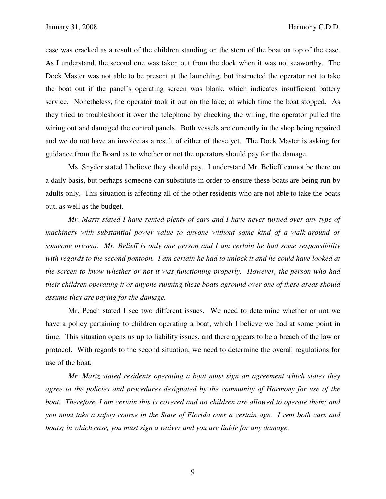case was cracked as a result of the children standing on the stern of the boat on top of the case. As I understand, the second one was taken out from the dock when it was not seaworthy. The Dock Master was not able to be present at the launching, but instructed the operator not to take the boat out if the panel's operating screen was blank, which indicates insufficient battery service. Nonetheless, the operator took it out on the lake; at which time the boat stopped. As they tried to troubleshoot it over the telephone by checking the wiring, the operator pulled the wiring out and damaged the control panels. Both vessels are currently in the shop being repaired and we do not have an invoice as a result of either of these yet. The Dock Master is asking for guidance from the Board as to whether or not the operators should pay for the damage.

 Ms. Snyder stated I believe they should pay. I understand Mr. Belieff cannot be there on a daily basis, but perhaps someone can substitute in order to ensure these boats are being run by adults only. This situation is affecting all of the other residents who are not able to take the boats out, as well as the budget.

 *Mr. Martz stated I have rented plenty of cars and I have never turned over any type of machinery with substantial power value to anyone without some kind of a walk-around or someone present. Mr. Belieff is only one person and I am certain he had some responsibility with regards to the second pontoon. I am certain he had to unlock it and he could have looked at the screen to know whether or not it was functioning properly. However, the person who had their children operating it or anyone running these boats aground over one of these areas should assume they are paying for the damage.* 

 Mr. Peach stated I see two different issues. We need to determine whether or not we have a policy pertaining to children operating a boat, which I believe we had at some point in time. This situation opens us up to liability issues, and there appears to be a breach of the law or protocol. With regards to the second situation, we need to determine the overall regulations for use of the boat.

 *Mr. Martz stated residents operating a boat must sign an agreement which states they agree to the policies and procedures designated by the community of Harmony for use of the boat. Therefore, I am certain this is covered and no children are allowed to operate them; and you must take a safety course in the State of Florida over a certain age. I rent both cars and boats; in which case, you must sign a waiver and you are liable for any damage.*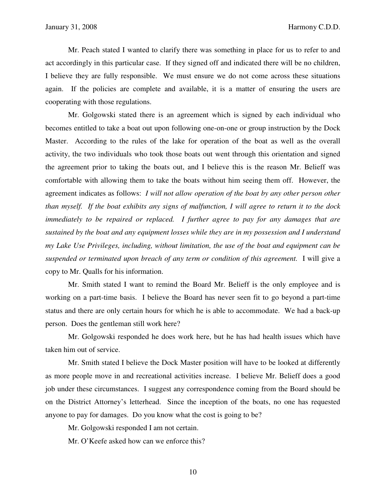Mr. Peach stated I wanted to clarify there was something in place for us to refer to and act accordingly in this particular case. If they signed off and indicated there will be no children, I believe they are fully responsible. We must ensure we do not come across these situations again. If the policies are complete and available, it is a matter of ensuring the users are cooperating with those regulations.

 Mr. Golgowski stated there is an agreement which is signed by each individual who becomes entitled to take a boat out upon following one-on-one or group instruction by the Dock Master. According to the rules of the lake for operation of the boat as well as the overall activity, the two individuals who took those boats out went through this orientation and signed the agreement prior to taking the boats out, and I believe this is the reason Mr. Belieff was comfortable with allowing them to take the boats without him seeing them off. However, the agreement indicates as follows: *I will not allow operation of the boat by any other person other than myself. If the boat exhibits any signs of malfunction, I will agree to return it to the dock immediately to be repaired or replaced. I further agree to pay for any damages that are sustained by the boat and any equipment losses while they are in my possession and I understand my Lake Use Privileges, including, without limitation, the use of the boat and equipment can be suspended or terminated upon breach of any term or condition of this agreement.* I will give a copy to Mr. Qualls for his information.

 Mr. Smith stated I want to remind the Board Mr. Belieff is the only employee and is working on a part-time basis. I believe the Board has never seen fit to go beyond a part-time status and there are only certain hours for which he is able to accommodate. We had a back-up person. Does the gentleman still work here?

 Mr. Golgowski responded he does work here, but he has had health issues which have taken him out of service.

 Mr. Smith stated I believe the Dock Master position will have to be looked at differently as more people move in and recreational activities increase. I believe Mr. Belieff does a good job under these circumstances. I suggest any correspondence coming from the Board should be on the District Attorney's letterhead. Since the inception of the boats, no one has requested anyone to pay for damages. Do you know what the cost is going to be?

Mr. Golgowski responded I am not certain.

Mr. O'Keefe asked how can we enforce this?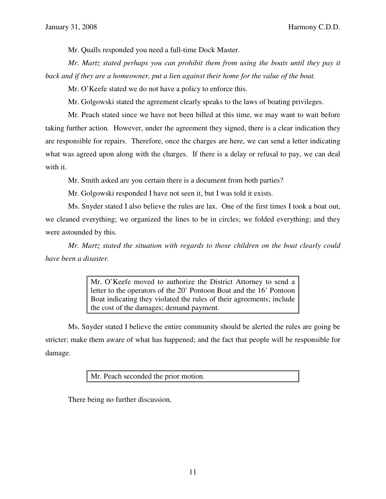Mr. Qualls responded you need a full-time Dock Master.

 *Mr. Martz stated perhaps you can prohibit them from using the boats until they pay it back and if they are a homeowner, put a lien against their home for the value of the boat.* 

Mr. O'Keefe stated we do not have a policy to enforce this.

Mr. Golgowski stated the agreement clearly speaks to the laws of boating privileges.

 Mr. Peach stated since we have not been billed at this time, we may want to wait before taking further action. However, under the agreement they signed, there is a clear indication they are responsible for repairs. Therefore, once the charges are here, we can send a letter indicating what was agreed upon along with the charges. If there is a delay or refusal to pay, we can deal with it.

Mr. Smith asked are you certain there is a document from both parties?

Mr. Golgowski responded I have not seen it, but I was told it exists.

 Ms. Snyder stated I also believe the rules are lax. One of the first times I took a boat out, we cleaned everything; we organized the lines to be in circles; we folded everything; and they were astounded by this.

*Mr. Martz stated the situation with regards to those children on the boat clearly could have been a disaster.* 

> Mr. O'Keefe moved to authorize the District Attorney to send a letter to the operators of the 20' Pontoon Boat and the 16' Pontoon Boat indicating they violated the rules of their agreements; include the cost of the damages; demand payment.

 Ms. Snyder stated I believe the entire community should be alerted the rules are going be stricter; make them aware of what has happened; and the fact that people will be responsible for damage.

Mr. Peach seconded the prior motion.

There being no further discussion,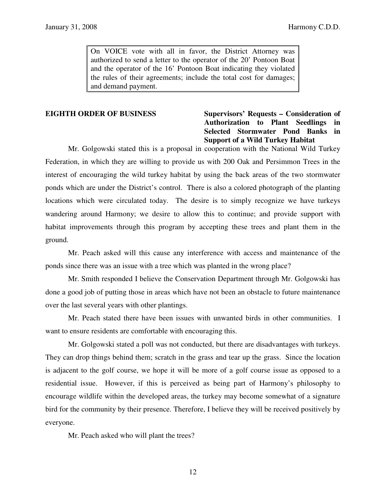On VOICE vote with all in favor, the District Attorney was authorized to send a letter to the operator of the 20' Pontoon Boat and the operator of the 16' Pontoon Boat indicating they violated the rules of their agreements; include the total cost for damages; and demand payment.

# **EIGHTH ORDER OF BUSINESS** Supervisors' Requests – Consideration of **Authorization to Plant Seedlings in Selected Stormwater Pond Banks in Support of a Wild Turkey Habitat**

 Mr. Golgowski stated this is a proposal in cooperation with the National Wild Turkey Federation, in which they are willing to provide us with 200 Oak and Persimmon Trees in the interest of encouraging the wild turkey habitat by using the back areas of the two stormwater ponds which are under the District's control. There is also a colored photograph of the planting locations which were circulated today. The desire is to simply recognize we have turkeys wandering around Harmony; we desire to allow this to continue; and provide support with habitat improvements through this program by accepting these trees and plant them in the ground.

 Mr. Peach asked will this cause any interference with access and maintenance of the ponds since there was an issue with a tree which was planted in the wrong place?

 Mr. Smith responded I believe the Conservation Department through Mr. Golgowski has done a good job of putting those in areas which have not been an obstacle to future maintenance over the last several years with other plantings.

 Mr. Peach stated there have been issues with unwanted birds in other communities. I want to ensure residents are comfortable with encouraging this.

 Mr. Golgowski stated a poll was not conducted, but there are disadvantages with turkeys. They can drop things behind them; scratch in the grass and tear up the grass. Since the location is adjacent to the golf course, we hope it will be more of a golf course issue as opposed to a residential issue. However, if this is perceived as being part of Harmony's philosophy to encourage wildlife within the developed areas, the turkey may become somewhat of a signature bird for the community by their presence. Therefore, I believe they will be received positively by everyone.

Mr. Peach asked who will plant the trees?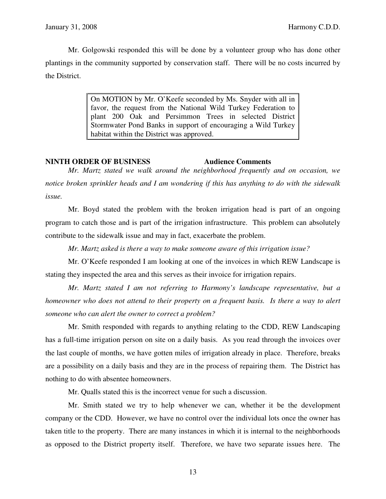Mr. Golgowski responded this will be done by a volunteer group who has done other plantings in the community supported by conservation staff. There will be no costs incurred by the District.

> On MOTION by Mr. O'Keefe seconded by Ms. Snyder with all in favor, the request from the National Wild Turkey Federation to plant 200 Oak and Persimmon Trees in selected District Stormwater Pond Banks in support of encouraging a Wild Turkey habitat within the District was approved.

## **NINTH ORDER OF BUSINESS Audience Comments**

 *Mr. Martz stated we walk around the neighborhood frequently and on occasion, we notice broken sprinkler heads and I am wondering if this has anything to do with the sidewalk issue.* 

 Mr. Boyd stated the problem with the broken irrigation head is part of an ongoing program to catch those and is part of the irrigation infrastructure. This problem can absolutely contribute to the sidewalk issue and may in fact, exacerbate the problem.

 *Mr. Martz asked is there a way to make someone aware of this irrigation issue?* 

 Mr. O'Keefe responded I am looking at one of the invoices in which REW Landscape is stating they inspected the area and this serves as their invoice for irrigation repairs.

 *Mr. Martz stated I am not referring to Harmony's landscape representative, but a homeowner who does not attend to their property on a frequent basis. Is there a way to alert someone who can alert the owner to correct a problem?* 

 Mr. Smith responded with regards to anything relating to the CDD, REW Landscaping has a full-time irrigation person on site on a daily basis. As you read through the invoices over the last couple of months, we have gotten miles of irrigation already in place. Therefore, breaks are a possibility on a daily basis and they are in the process of repairing them. The District has nothing to do with absentee homeowners.

Mr. Qualls stated this is the incorrect venue for such a discussion.

 Mr. Smith stated we try to help whenever we can, whether it be the development company or the CDD. However, we have no control over the individual lots once the owner has taken title to the property. There are many instances in which it is internal to the neighborhoods as opposed to the District property itself. Therefore, we have two separate issues here. The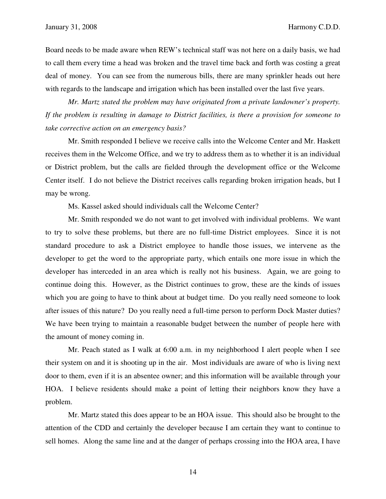Board needs to be made aware when REW's technical staff was not here on a daily basis, we had to call them every time a head was broken and the travel time back and forth was costing a great deal of money. You can see from the numerous bills, there are many sprinkler heads out here with regards to the landscape and irrigation which has been installed over the last five years.

*Mr. Martz stated the problem may have originated from a private landowner's property. If the problem is resulting in damage to District facilities, is there a provision for someone to take corrective action on an emergency basis?* 

 Mr. Smith responded I believe we receive calls into the Welcome Center and Mr. Haskett receives them in the Welcome Office, and we try to address them as to whether it is an individual or District problem, but the calls are fielded through the development office or the Welcome Center itself. I do not believe the District receives calls regarding broken irrigation heads, but I may be wrong.

Ms. Kassel asked should individuals call the Welcome Center?

 Mr. Smith responded we do not want to get involved with individual problems. We want to try to solve these problems, but there are no full-time District employees. Since it is not standard procedure to ask a District employee to handle those issues, we intervene as the developer to get the word to the appropriate party, which entails one more issue in which the developer has interceded in an area which is really not his business. Again, we are going to continue doing this. However, as the District continues to grow, these are the kinds of issues which you are going to have to think about at budget time. Do you really need someone to look after issues of this nature? Do you really need a full-time person to perform Dock Master duties? We have been trying to maintain a reasonable budget between the number of people here with the amount of money coming in.

 Mr. Peach stated as I walk at 6:00 a.m. in my neighborhood I alert people when I see their system on and it is shooting up in the air. Most individuals are aware of who is living next door to them, even if it is an absentee owner; and this information will be available through your HOA. I believe residents should make a point of letting their neighbors know they have a problem.

Mr. Martz stated this does appear to be an HOA issue. This should also be brought to the attention of the CDD and certainly the developer because I am certain they want to continue to sell homes. Along the same line and at the danger of perhaps crossing into the HOA area, I have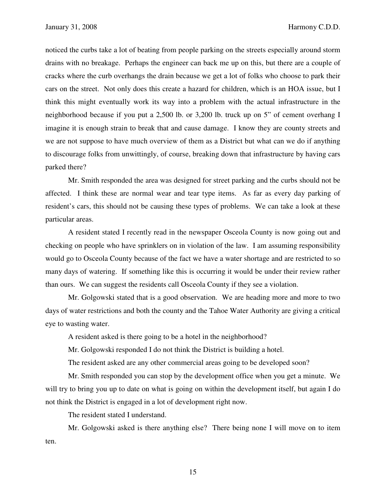noticed the curbs take a lot of beating from people parking on the streets especially around storm drains with no breakage. Perhaps the engineer can back me up on this, but there are a couple of cracks where the curb overhangs the drain because we get a lot of folks who choose to park their cars on the street. Not only does this create a hazard for children, which is an HOA issue, but I think this might eventually work its way into a problem with the actual infrastructure in the neighborhood because if you put a 2,500 lb. or 3,200 lb. truck up on 5" of cement overhang I imagine it is enough strain to break that and cause damage. I know they are county streets and we are not suppose to have much overview of them as a District but what can we do if anything to discourage folks from unwittingly, of course, breaking down that infrastructure by having cars parked there?

 Mr. Smith responded the area was designed for street parking and the curbs should not be affected. I think these are normal wear and tear type items. As far as every day parking of resident's cars, this should not be causing these types of problems. We can take a look at these particular areas.

 A resident stated I recently read in the newspaper Osceola County is now going out and checking on people who have sprinklers on in violation of the law. I am assuming responsibility would go to Osceola County because of the fact we have a water shortage and are restricted to so many days of watering. If something like this is occurring it would be under their review rather than ours. We can suggest the residents call Osceola County if they see a violation.

 Mr. Golgowski stated that is a good observation. We are heading more and more to two days of water restrictions and both the county and the Tahoe Water Authority are giving a critical eye to wasting water.

A resident asked is there going to be a hotel in the neighborhood?

Mr. Golgowski responded I do not think the District is building a hotel.

The resident asked are any other commercial areas going to be developed soon?

 Mr. Smith responded you can stop by the development office when you get a minute. We will try to bring you up to date on what is going on within the development itself, but again I do not think the District is engaged in a lot of development right now.

The resident stated I understand.

 Mr. Golgowski asked is there anything else? There being none I will move on to item ten.